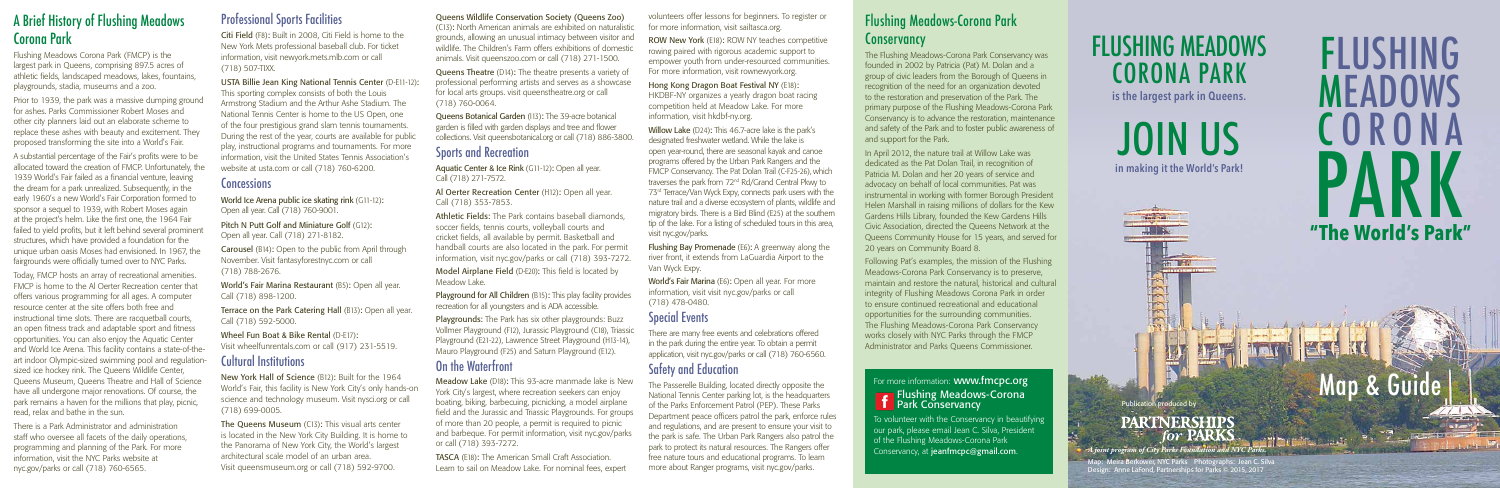Meira Berkower, NYC Parks Photographs: Jean C. Silva Design: Anne LaFond, Partnerships for Parks © 2015, 2017



## FLUSHING MEADOWS CORONA PARK

**is the largest park in Queens.**

JOIN US **in making it the World's Park!**

**TRACTORY** 

B

**TOTAL AN** 

Publication produced by

#### **PARTNERSHIPS** for PARKS

*A joint program of City Parks Foundation and NYC Parks.*

### A Brief History of Flushing Meadows Corona Park

Flushing Meadows Corona Park (FMCP) is the largest park in Queens, comprising 897.5 acres of athletic fields, landscaped meadows, lakes, fountains, playgrounds, stadia, museums and a zoo.

Prior to 1939, the park was a massive dumping ground for ashes. Parks Commissioner Robert Moses and other city planners laid out an elaborate scheme to replace these ashes with beauty and excitement. They proposed transforming the site into a World's Fair.

A substantial percentage of the Fair's profits were to be allocated toward the creation of FMCP. Unfortunately, the 1939 World's Fair failed as a financial venture, leaving the dream for a park unrealized. Subsequently, in the early 1960's a new World's Fair Corporation formed to sponsor a sequel to 1939, with Robert Moses again at the project's helm. Like the first one, the 1964 Fair failed to yield profits, but it left behind several prominent structures, which have provided a foundation for the unique urban oasis Moses had envisioned. In 1967, the fairgrounds were officially turned over to NYC Parks.

World Ice Arena public ice skating rink (G11-12): Open all year. Call (718) 760-9001.

Pitch N Putt Golf and Miniature Golf (G12): Open all year. Call (718) 271-8182.

Terrace on the Park Catering Hall (B13): Open all year. Call (718) 592-5000.

Today, FMCP hosts an array of recreational amenities. FMCP is home to the Al Oerter Recreation center that offers various programming for all ages. A computer resource center at the site offers both free and instructional time slots. There are racquetball courts, an open fitness track and adaptable sport and fitness opportunities. You can also enjoy the Aquatic Center and World Ice Arena. This facility contains a state-of-theart indoor Olympic-sized swimming pool and regulationsized ice hockey rink. The Queens Wildlife Center, Queens Museum, Queens Theatre and Hall of Science have all undergone major renovations. Of course, the park remains a haven for the millions that play, picnic, read, relax and bathe in the sun.

> The Queens Museum (C13): This visual arts center is located in the New York City Building. It is home to the Panorama of New York City, the World's largest architectural scale model of an urban area. Visit queensmuseum.org or call (718) 592-9700.

There is a Park Administrator and administration staff who oversee all facets of the daily operations, programming and planning of the Park. For more information, visit the NYC Parks website at nyc.gov/parks or call (718) 760-6565.

Aquatic Center & Ice Rink (G11-12): Open all year. Call (718) 271-7572.

#### Professional Sports Facilities

Citi Field (F8): Built in 2008, Citi Field is home to the New York Mets professional baseball club. For ticket information, visit newyork.mets.mlb.com or call (718) 507-TIXX.

> Athletic Fields: The Park contains baseball diamonds, soccer fields, tennis courts, volleyball courts and cricket fields, all available by permit. Basketball and handball courts are also located in the park. For permit information, visit nyc.gov/parks or call (718) 393-7272.

> Playground for All Children (B15): This play facility provides recreation for all youngsters and is ADA accessible.

USTA Billie Jean King National Tennis Center (D-E11-12): This sporting complex consists of both the Louis Armstrong Stadium and the Arthur Ashe Stadium. The National Tennis Center is home to the US Open, one of the four prestigious grand slam tennis tournaments. During the rest of the year, courts are available for public play, instructional programs and tournaments. For more information, visit the United States Tennis Association's website at usta.com or call (718) 760-6200.

#### **Concessions**

ROW New York (E18): ROW NY teaches competitive rowing paired with rigorous academic support to empower youth from under-resourced communities. For more information, visit rownewyork.org.

Carousel (B14): Open to the public from April through November. Visit fantasyforestnyc.com or call (718) 788-2676.

World's Fair Marina Restaurant (B5): Open all year. Call (718) 898-1200.

Wheel Fun Boat & Bike Rental (D-E17): Visit wheelfunrentals.com or call (917) 231-5519.

#### Cultural Institutions

New York Hall of Science (B12): Built for the 1964 World's Fair, this facility is New York City's only hands-on science and technology museum. Visit nysci.org or call (718) 699-0005.

#### Flushing Meadows-Corona Park **Conservancy**

#### Queens Wildlife Conservation Society (Queens Zoo)

(C13): North American animals are exhibited on naturalistic grounds, allowing an unusual intimacy between visitor and wildlife. The Children's Farm offers exhibitions of domestic animals. Visit queenszoo.com or call (718) 271-1500.

Queens Theatre (D14): The theatre presents a variety of professional performing artists and serves as a showcase for local arts groups. visit queenstheatre.org or call (718) 760-0064.

Queens Botanical Garden (I13): The 39-acre botanical garden is filled with garden displays and tree and flower collections. Visit queensbotanical.org or call (718) 886-3800.

#### Sports and Recreation

Al Oerter Recreation Center (H12): Open all year. Call (718) 353-7853.

# FLUSHING MEADOWS C ORONA PARK<br>The World's Park **"The World's Park"**

Model Airplane Field (D-E20): This field is located by Meadow Lake.

Playgrounds: The Park has six other playgrounds: Buzz Vollmer Playground (F12), Jurassic Playground (C18), Triassic Playground (E21-22), Lawrence Street Playground (H13-14), Mauro Playground (F25) and Saturn Playground (E12).

#### On the Waterfront

Meadow Lake (D18): This 93-acre manmade lake is New York City's largest, where recreation seekers can enjoy boating, biking, barbecuing, picnicking, a model airplane field and the Jurassic and Triassic Playgrounds. For groups of more than 20 people, a permit is required to picnic and barbeque. For permit information, visit nyc.gov/parks or call (718) 393-7272.

TASCA (E18): The American Small Craft Association. Learn to sail on Meadow Lake. For nominal fees, expert

volunteers offer lessons for beginners. To register or for more information, visit sailtasca.org.

Hong Kong Dragon Boat Festival NY (E18): HKDBF-NY organizes a yearly dragon boat racing competition held at Meadow Lake. For more information, visit hkdbf-ny.org.

Willow Lake (D24): This 46.7-acre lake is the park's designated freshwater wetland. While the lake is open year-round, there are seasonal kayak and canoe programs offered by the Urban Park Rangers and the FMCP Conservancy. The Pat Dolan Trail (C-F25-26), which traverses the park from 72nd Rd/Grand Central Pkwy to 73<sup>rd</sup> Terrace/Van Wyck Expy, connects park users with the nature trail and a diverse ecosystem of plants, wildlife and migratory birds. There is a Bird Blind (E25) at the southern tip of the lake. For a listing of scheduled tours in this area, visit nyc.gov/parks.

Flushing Bay Promenade (E6): A greenway along the river front, it extends from LaGuardia Airport to the Van Wyck Expy.

World's Fair Marina (E6): Open all year. For more information, visit visit nyc.gov/parks or call (718) 478-0480.

#### Special Events

There are many free events and celebrations offered in the park during the entire year. To obtain a permit application, visit nyc.gov/parks or call (718) 760-6560.

#### Safety and Education

The Passerelle Building, located directly opposite the National Tennis Center parking lot, is the headquarters of the Parks Enforcement Patrol (PEP). These Parks Department peace officers patrol the park, enforce rules and regulations, and are present to ensure your visit to the park is safe. The Urban Park Rangers also patrol the park to protect its natural resources. The Rangers offer free nature tours and educational programs. To learn more about Ranger programs, visit nyc.gov/parks.

The Flushing Meadows-Corona Park Conservancy was founded in 2002 by Patricia (Pat) M. Dolan and a group of civic leaders from the Borough of Queens in recognition of the need for an organization devoted to the restoration and preservation of the Park. The primary purpose of the Flushing Meadows-Corona Park Conservancy is to advance the restoration, maintenance and safety of the Park and to foster public awareness of and support for the Park.

In April 2012, the nature trail at Willow Lake was dedicated as the Pat Dolan Trail, in recognition of Patricia M. Dolan and her 20 years of service and advocacy on behalf of local communities. Pat was instrumental in working with former Borough President Helen Marshall in raising millions of dollars for the Kew Gardens Hills Library, founded the Kew Gardens Hills Civic Association, directed the Queens Network at the Queens Community House for 15 years, and served for 20 years on Community Board 8.

Following Pat's examples, the mission of the Flushing Meadows-Corona Park Conservancy is to preserve, maintain and restore the natural, historical and cultural integrity of Flushing Meadows Corona Park in order to ensure continued recreational and educational opportunities for the surrounding communities. The Flushing Meadows-Corona Park Conservancy works closely with NYC Parks through the FMCP Administrator and Parks Queens Commissioner.

#### For more information: **www.fmcpc.org Figure 1** Flushing Meadows-Corona **F** Park Conservancy

To volunteer with the Conservancy in beautifying our park, please email Jean C. Silva, President of the Flushing Meadows-Corona Park Conservancy, at jeanfmcpc@gmail.com.